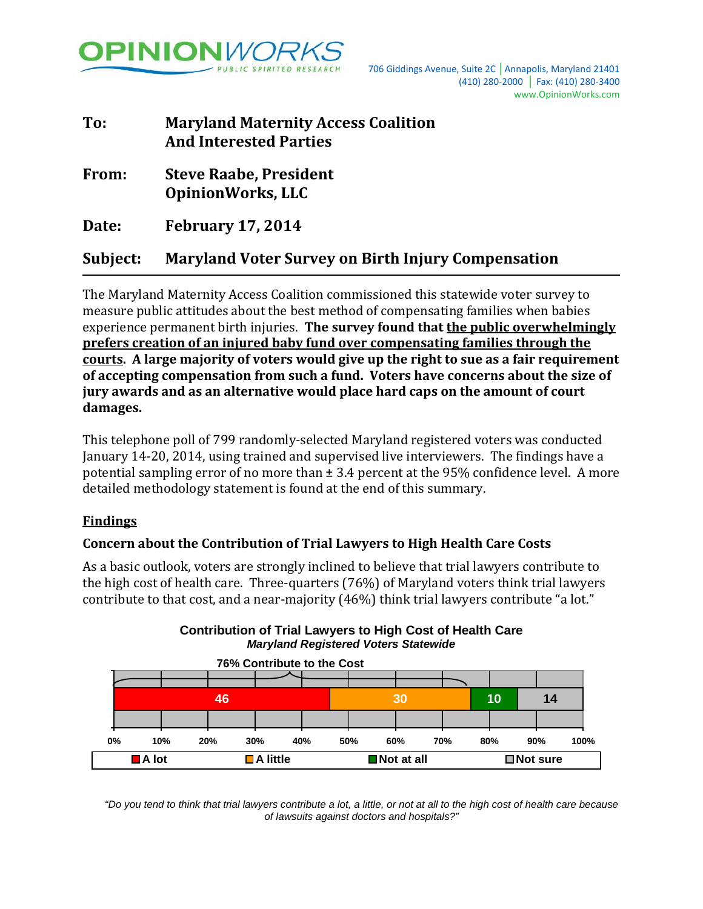

| To:      | <b>Maryland Maternity Access Coalition</b><br><b>And Interested Parties</b> |
|----------|-----------------------------------------------------------------------------|
| From:    | <b>Steve Raabe, President</b><br><b>OpinionWorks, LLC</b>                   |
| Date:    | <b>February 17, 2014</b>                                                    |
| Subject: | <b>Maryland Voter Survey on Birth Injury Compensation</b>                   |

The Maryland Maternity Access Coalition commissioned this statewide voter survey to measure public attitudes about the best method of compensating families when babies experience permanent birth injuries. **The survey found that the public overwhelmingly prefers creation of an injured baby fund over compensating families through the courts. A large majority of voters would give up the right to sue as a fair requirement of accepting compensation from such a fund. Voters have concerns about the size of jury awards and as an alternative would place hard caps on the amount of court damages.**

This telephone poll of 799 randomly-selected Maryland registered voters was conducted January 14-20, 2014, using trained and supervised live interviewers. The findings have a potential sampling error of no more than  $\pm$  3.4 percent at the 95% confidence level. A more detailed methodology statement is found at the end of this summary.

# **Findings**

# **Concern about the Contribution of Trial Lawyers to High Health Care Costs**

As a basic outlook, voters are strongly inclined to believe that trial lawyers contribute to the high cost of health care. Three-quarters (76%) of Maryland voters think trial lawyers contribute to that cost, and a near-majority (46%) think trial lawyers contribute "a lot."



**Contribution of Trial Lawyers to High Cost of Health Care** *Maryland Registered Voters Statewide*

*"Do you tend to think that trial lawyers contribute a lot, a little, or not at all to the high cost of health care because of lawsuits against doctors and hospitals?"*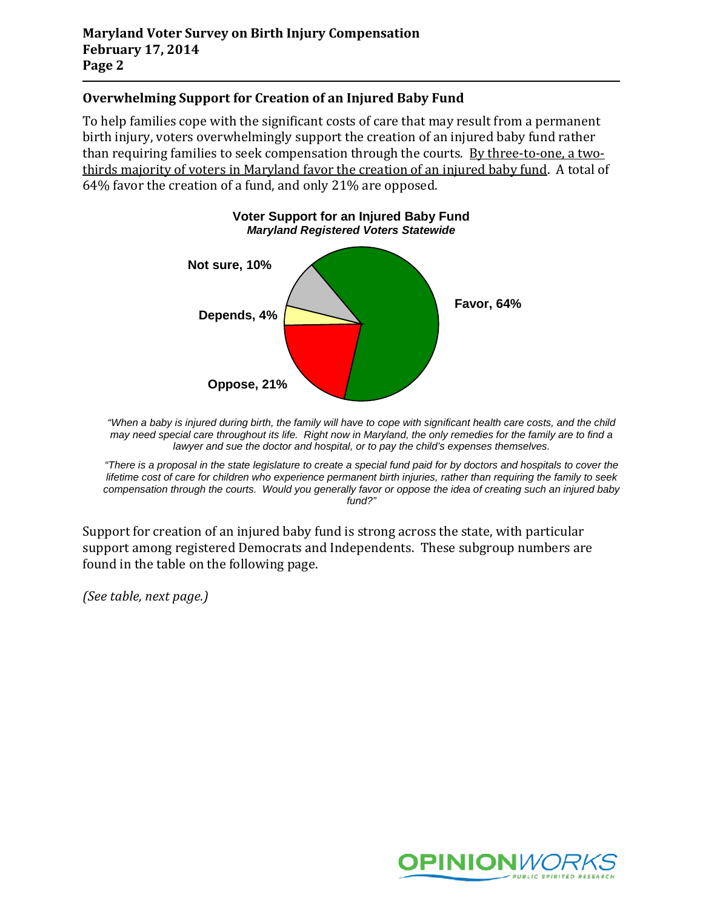## **Overwhelming Support for Creation of an Injured Baby Fund**

To help families cope with the significant costs of care that may result from a permanent birth injury, voters overwhelmingly support the creation of an injured baby fund rather than requiring families to seek compensation through the courts. By three-to-one, a twothirds majority of voters in Maryland favor the creation of an injured baby fund. A total of 64% favor the creation of a fund, and only 21% are opposed.



*"When a baby is injured during birth, the family will have to cope with significant health care costs, and the child may need special care throughout its life. Right now in Maryland, the only remedies for the family are to find a lawyer and sue the doctor and hospital, or to pay the child's expenses themselves.*

*"There is a proposal in the state legislature to create a special fund paid for by doctors and hospitals to cover the lifetime cost of care for children who experience permanent birth injuries, rather than requiring the family to seek compensation through the courts. Would you generally favor or oppose the idea of creating such an injured baby fund?"*

Support for creation of an injured baby fund is strong across the state, with particular support among registered Democrats and Independents. These subgroup numbers are found in the table on the following page.

*(See table, next page.)*

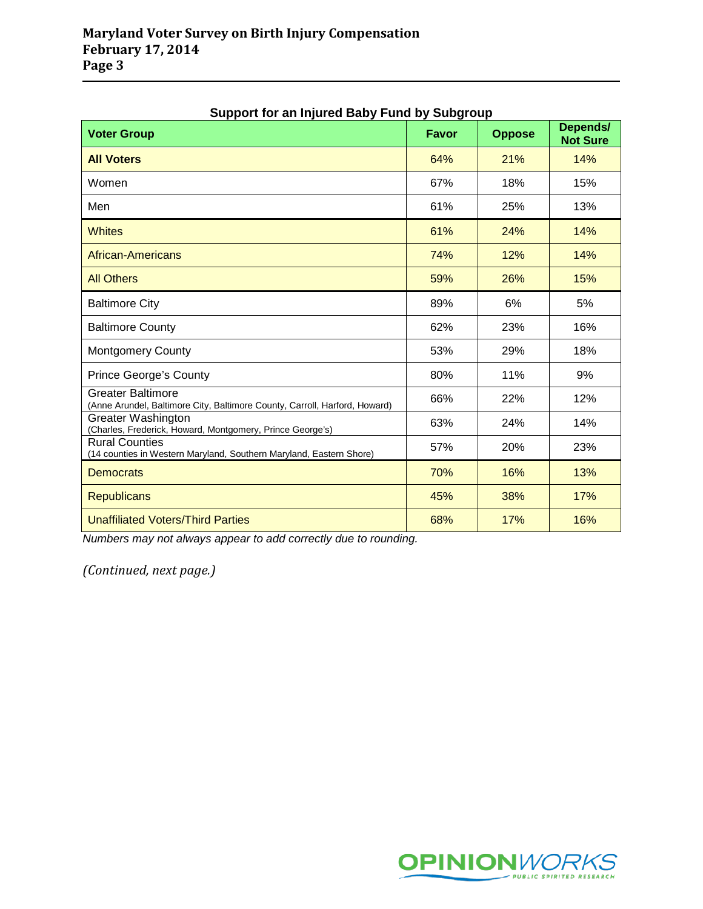| Support for an injured Baby Fund by Subgroup<br><b>Voter Group</b>                                     | <b>Favor</b> | <b>Oppose</b> | Depends/<br><b>Not Sure</b> |
|--------------------------------------------------------------------------------------------------------|--------------|---------------|-----------------------------|
| <b>All Voters</b>                                                                                      | 64%          | 21%           | 14%                         |
| Women                                                                                                  | 67%          | 18%           | 15%                         |
| Men                                                                                                    | 61%          | 25%           | 13%                         |
| <b>Whites</b>                                                                                          | 61%          | 24%           | 14%                         |
| African-Americans                                                                                      | 74%          | 12%           | 14%                         |
| <b>All Others</b>                                                                                      | 59%          | 26%           | 15%                         |
| <b>Baltimore City</b>                                                                                  | 89%          | 6%            | 5%                          |
| <b>Baltimore County</b>                                                                                | 62%          | 23%           | 16%                         |
| <b>Montgomery County</b>                                                                               | 53%          | 29%           | 18%                         |
| <b>Prince George's County</b>                                                                          | 80%          | 11%           | 9%                          |
| <b>Greater Baltimore</b><br>(Anne Arundel, Baltimore City, Baltimore County, Carroll, Harford, Howard) | 66%          | 22%           | 12%                         |
| <b>Greater Washington</b><br>(Charles, Frederick, Howard, Montgomery, Prince George's)                 | 63%          | 24%           | 14%                         |
| <b>Rural Counties</b><br>(14 counties in Western Maryland, Southern Maryland, Eastern Shore)           | 57%          | 20%           | 23%                         |
| <b>Democrats</b>                                                                                       | 70%          | 16%           | 13%                         |
| <b>Republicans</b>                                                                                     | 45%          | 38%           | 17%                         |
| <b>Unaffiliated Voters/Third Parties</b>                                                               | 68%          | 17%           | 16%                         |

# **Support for an Injured Baby Fund by Subgroup**

*Numbers may not always appear to add correctly due to rounding.*

*(Continued, next page.)*

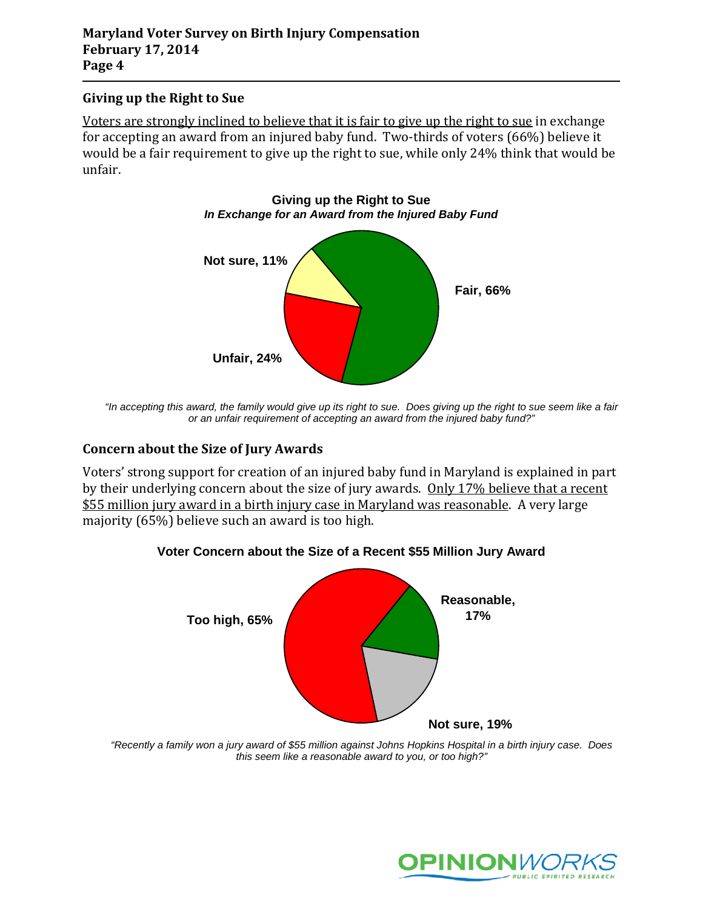## **Giving up the Right to Sue**

Voters are strongly inclined to believe that it is fair to give up the right to sue in exchange for accepting an award from an injured baby fund. Two-thirds of voters (66%) believe it would be a fair requirement to give up the right to sue, while only 24% think that would be unfair.



*"In accepting this award, the family would give up its right to sue. Does giving up the right to sue seem like a fair or an unfair requirement of accepting an award from the injured baby fund?"*

## **Concern about the Size of Jury Awards**

Voters' strong support for creation of an injured baby fund in Maryland is explained in part by their underlying concern about the size of jury awards. Only 17% believe that a recent \$55 million jury award in a birth injury case in Maryland was reasonable. A very large majority (65%) believe such an award is too high.



**Voter Concern about the Size of a Recent \$55 Million Jury Award**

*"Recently a family won a jury award of \$55 million against Johns Hopkins Hospital in a birth injury case. Does this seem like a reasonable award to you, or too high?"*

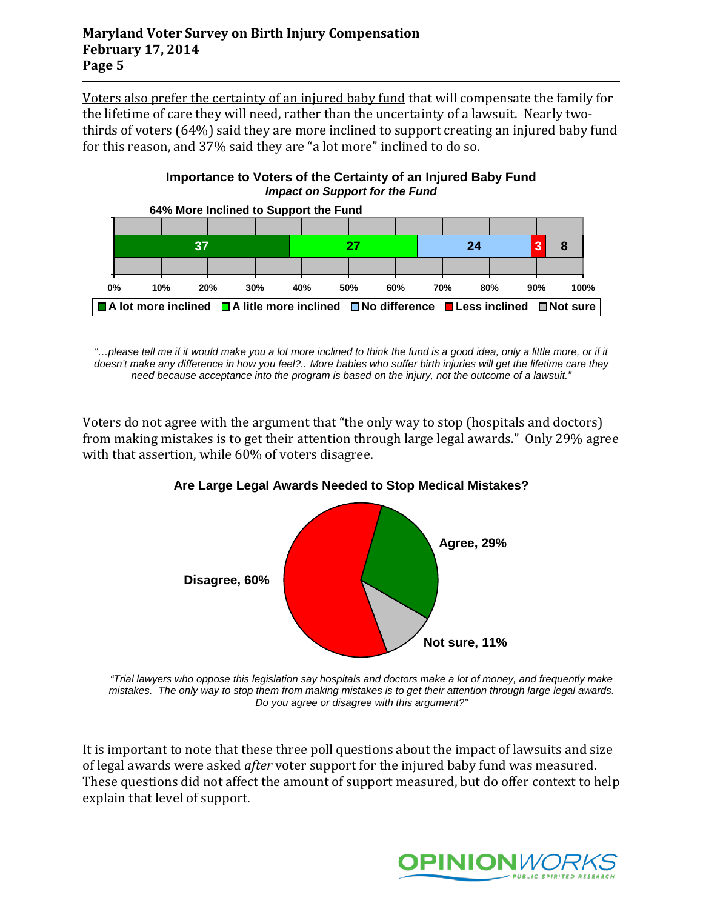Voters also prefer the certainty of an injured baby fund that will compensate the family for the lifetime of care they will need, rather than the uncertainty of a lawsuit. Nearly twothirds of voters (64%) said they are more inclined to support creating an injured baby fund for this reason, and 37% said they are "a lot more" inclined to do so.





*"…please tell me if it would make you a lot more inclined to think the fund is a good idea, only a little more, or if it doesn't make any difference in how you feel?.. More babies who suffer birth injuries will get the lifetime care they need because acceptance into the program is based on the injury, not the outcome of a lawsuit."*

Voters do not agree with the argument that "the only way to stop (hospitals and doctors) from making mistakes is to get their attention through large legal awards." Only 29% agree with that assertion, while 60% of voters disagree.



## **Are Large Legal Awards Needed to Stop Medical Mistakes?**

*"Trial lawyers who oppose this legislation say hospitals and doctors make a lot of money, and frequently make mistakes. The only way to stop them from making mistakes is to get their attention through large legal awards. Do you agree or disagree with this argument?"*

It is important to note that these three poll questions about the impact of lawsuits and size of legal awards were asked *after* voter support for the injured baby fund was measured. These questions did not affect the amount of support measured, but do offer context to help explain that level of support.

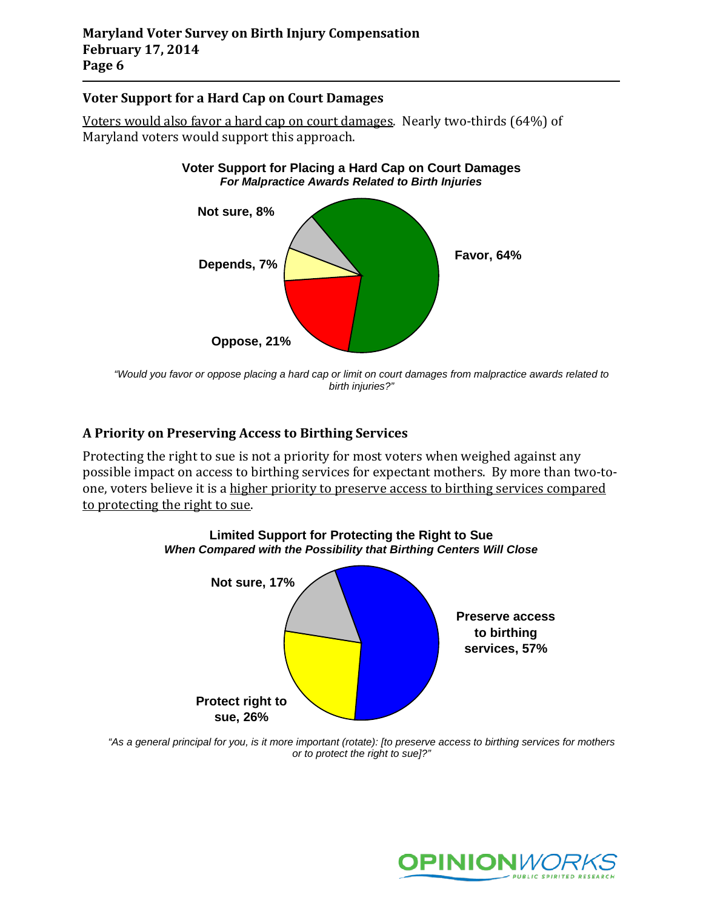## **Voter Support for a Hard Cap on Court Damages**

Voters would also favor a hard cap on court damages. Nearly two-thirds (64%) of Maryland voters would support this approach.



**Voter Support for Placing a Hard Cap on Court Damages**

*"Would you favor or oppose placing a hard cap or limit on court damages from malpractice awards related to birth injuries?"*

# **A Priority on Preserving Access to Birthing Services**

Protecting the right to sue is not a priority for most voters when weighed against any possible impact on access to birthing services for expectant mothers. By more than two-toone, voters believe it is a higher priority to preserve access to birthing services compared to protecting the right to sue.



*"As a general principal for you, is it more important (rotate): [to preserve access to birthing services for mothers or to protect the right to sue]?"*